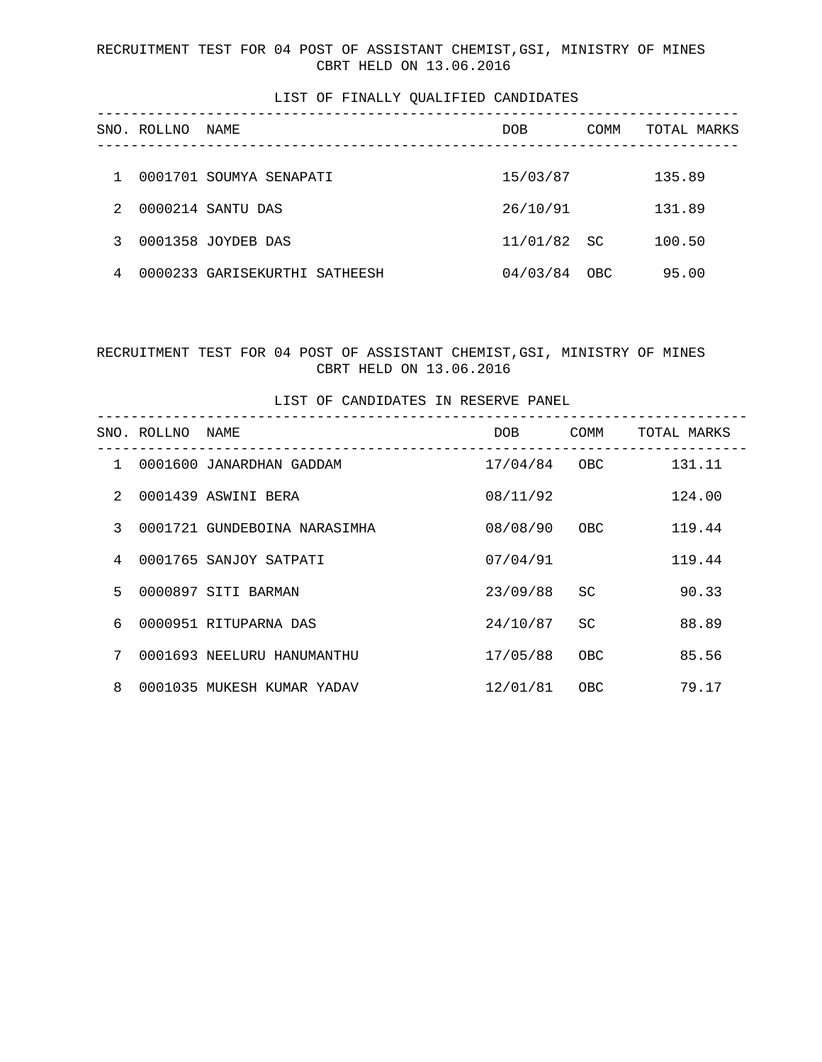LIST OF FINALLY QUALIFIED CANDIDATES

| SNO. | ROLLNO | NAME                          | DOB.     | COMM | TOTAL MARKS |
|------|--------|-------------------------------|----------|------|-------------|
|      |        |                               |          |      |             |
|      |        | 0001701 SOUMYA SENAPATI       | 15/03/87 |      | 135.89      |
| 2    |        | 0000214 SANTU DAS             | 26/10/91 |      | 131.89      |
| 3    |        | 0001358 JOYDEB DAS            | 11/01/82 | - SC | 100.50      |
| 4    |        | 0000233 GARISEKURTHI SATHEESH | 04/03/84 | OBC  | 95.00       |

RECRUITMENT TEST FOR 04 POST OF ASSISTANT CHEMIST,GSI, MINISTRY OF MINES CBRT HELD ON 13.06.2016

LIST OF CANDIDATES IN RESERVE PANEL

|               | SNO. ROLLNO | NAME                         | DOB      | COMM       | TOTAL MARKS |
|---------------|-------------|------------------------------|----------|------------|-------------|
| 1             |             | 0001600 JANARDHAN GADDAM     | 17/04/84 | OBC        | 131.11      |
| $\mathcal{L}$ |             | 0001439 ASWINI BERA          | 08/11/92 |            | 124.00      |
| 3             |             | 0001721 GUNDEBOINA NARASIMHA | 08/08/90 | OBC        | 119.44      |
| 4             |             | 0001765 SANJOY SATPATI       | 07/04/91 |            | 119.44      |
| 5.            |             | 0000897 SITI BARMAN          | 23/09/88 | SC.        | 90.33       |
| б.            |             | 0000951 RITUPARNA DAS        | 24/10/87 | <b>SC</b>  | 88.89       |
| 7             |             | 0001693 NEELURU HANUMANTHU   | 17/05/88 | OBC        | 85.56       |
| 8             |             | 0001035 MUKESH KUMAR YADAV   | 12/01/81 | <b>OBC</b> | 79.17       |